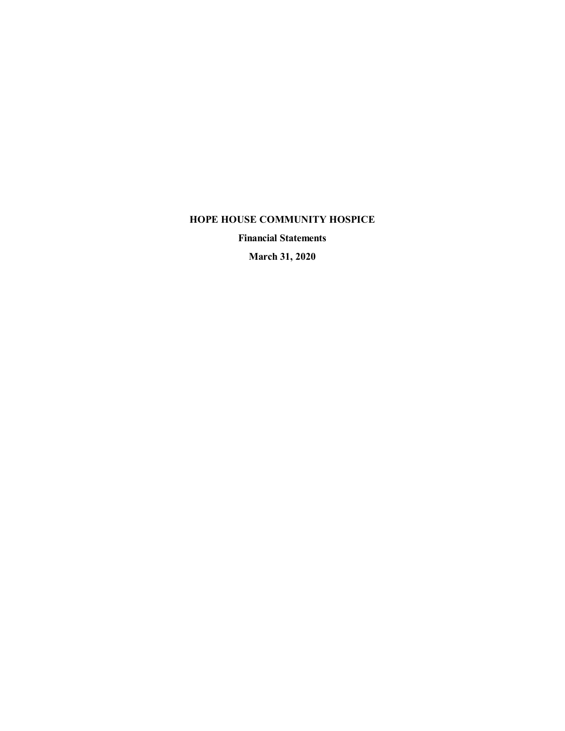**Financial Statements March 31, 2020**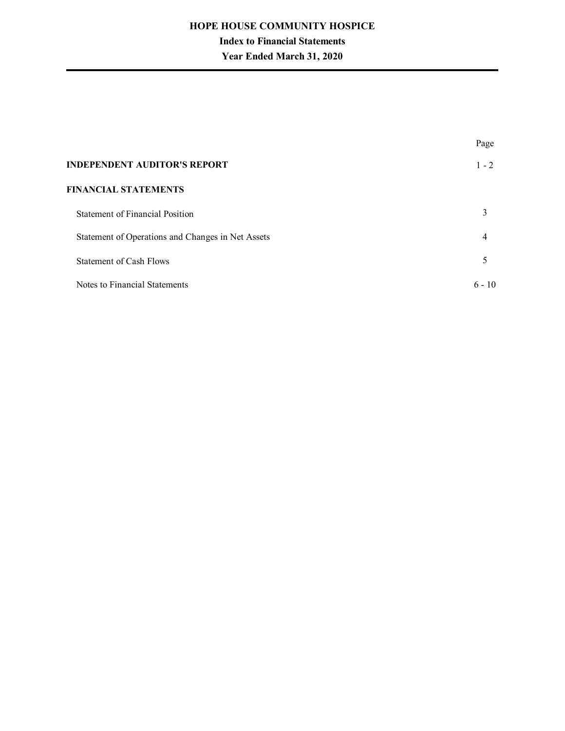# **HOPE HOUSE COMMUNITY HOSPICE Index to Financial Statements Year Ended March 31, 2020**

|                                                   | Page     |
|---------------------------------------------------|----------|
| <b>INDEPENDENT AUDITOR'S REPORT</b>               | $1 - 2$  |
| <b>FINANCIAL STATEMENTS</b>                       |          |
| <b>Statement of Financial Position</b>            | 3        |
| Statement of Operations and Changes in Net Assets | 4        |
| Statement of Cash Flows                           |          |
| Notes to Financial Statements                     | $6 - 10$ |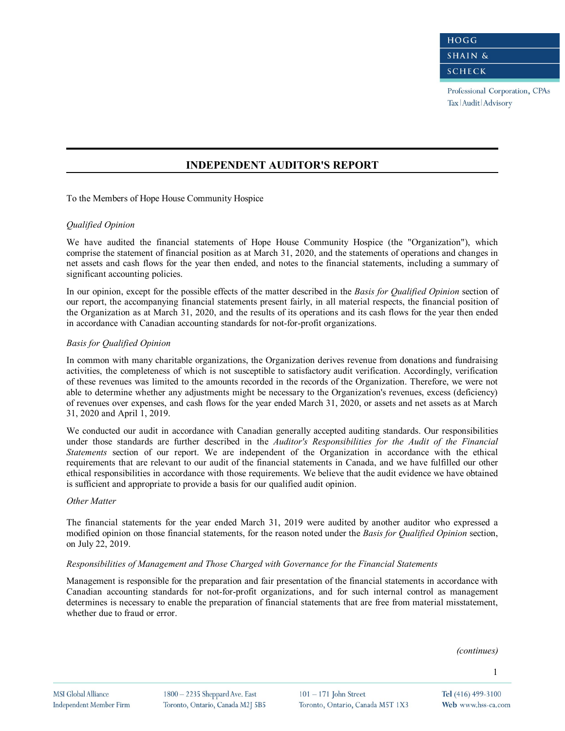Professional Corporation, CPAs Tax | Audit | Advisory

## **INDEPENDENT AUDITOR'S REPORT**

To the Members of Hope House Community Hospice

### *Qualified Opinion*

We have audited the financial statements of Hope House Community Hospice (the "Organization"), which comprise the statement of financial position as at March 31, 2020, and the statements of operations and changes in net assets and cash flows for the year then ended, and notes to the financial statements, including a summary of significant accounting policies.

In our opinion, except for the possible effects of the matter described in the *Basis for Qualified Opinion* section of our report, the accompanying financial statements present fairly, in all material respects, the financial position of the Organization as at March 31, 2020, and the results of its operations and its cash flows for the year then ended in accordance with Canadian accounting standards for not-for-profit organizations.

### *Basis for Qualified Opinion*

In common with many charitable organizations, the Organization derives revenue from donations and fundraising activities, the completeness of which is not susceptible to satisfactory audit verification. Accordingly, verification of these revenues was limited to the amounts recorded in the records of the Organization. Therefore, we were not able to determine whether any adjustments might be necessary to the Organization's revenues, excess (deficiency) of revenues over expenses, and cash flows for the year ended March 31, 2020, or assets and net assets as at March 31, 2020 and April 1, 2019.

We conducted our audit in accordance with Canadian generally accepted auditing standards. Our responsibilities under those standards are further described in the *Auditor's Responsibilities for the Audit of the Financial Statements* section of our report. We are independent of the Organization in accordance with the ethical requirements that are relevant to our audit of the financial statements in Canada, and we have fulfilled our other ethical responsibilities in accordance with those requirements. We believe that the audit evidence we have obtained is sufficient and appropriate to provide a basis for our qualified audit opinion.

#### *Other Matter*

The financial statements for the year ended March 31, 2019 were audited by another auditor who expressed a modified opinion on those financial statements, for the reason noted under the *Basis for Qualified Opinion* section, on July 22, 2019.

#### *Responsibilities of Management and Those Charged with Governance for the Financial Statements*

Management is responsible for the preparation and fair presentation of the financial statements in accordance with Canadian accounting standards for not-for-profit organizations, and for such internal control as management determines is necessary to enable the preparation of financial statements that are free from material misstatement, whether due to fraud or error.

*(continues)*

1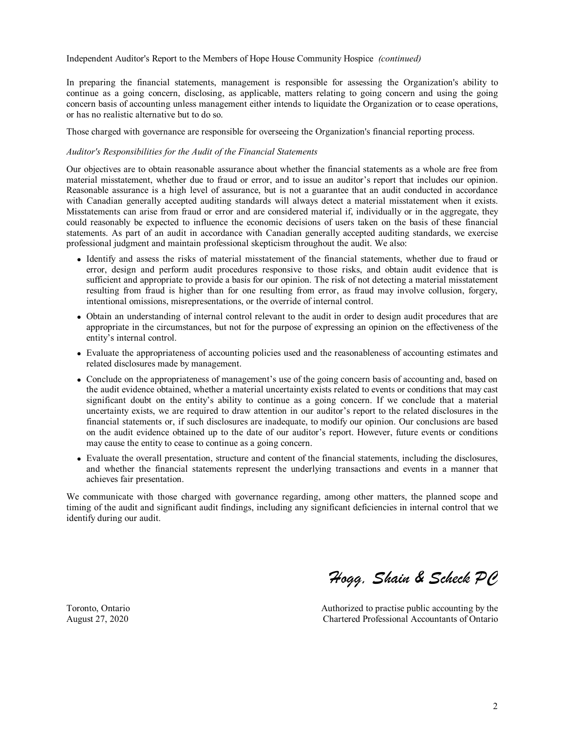Independent Auditor's Report to the Members of Hope House Community Hospice *(continued)*

In preparing the financial statements, management is responsible for assessing the Organization's ability to continue as a going concern, disclosing, as applicable, matters relating to going concern and using the going concern basis of accounting unless management either intends to liquidate the Organization or to cease operations, or has no realistic alternative but to do so.

Those charged with governance are responsible for overseeing the Organization's financial reporting process.

#### *Auditor's Responsibilities for the Audit of the Financial Statements*

Our objectives are to obtain reasonable assurance about whether the financial statements as a whole are free from material misstatement, whether due to fraud or error, and to issue an auditor's report that includes our opinion. Reasonable assurance is a high level of assurance, but is not a guarantee that an audit conducted in accordance with Canadian generally accepted auditing standards will always detect a material misstatement when it exists. Misstatements can arise from fraud or error and are considered material if, individually or in the aggregate, they could reasonably be expected to influence the economic decisions of users taken on the basis of these financial statements. As part of an audit in accordance with Canadian generally accepted auditing standards, we exercise professional judgment and maintain professional skepticism throughout the audit. We also:

- <sup>l</sup> Identify and assess the risks of material misstatement of the financial statements, whether due to fraud or error, design and perform audit procedures responsive to those risks, and obtain audit evidence that is sufficient and appropriate to provide a basis for our opinion. The risk of not detecting a material misstatement resulting from fraud is higher than for one resulting from error, as fraud may involve collusion, forgery, intentional omissions, misrepresentations, or the override of internal control.
- Obtain an understanding of internal control relevant to the audit in order to design audit procedures that are appropriate in the circumstances, but not for the purpose of expressing an opinion on the effectiveness of the entity's internal control.
- <sup>l</sup> Evaluate the appropriateness of accounting policies used and the reasonableness of accounting estimates and related disclosures made by management.
- Conclude on the appropriateness of management's use of the going concern basis of accounting and, based on the audit evidence obtained, whether a material uncertainty exists related to events or conditions that may cast significant doubt on the entity's ability to continue as a going concern. If we conclude that a material uncertainty exists, we are required to draw attention in our auditor's report to the related disclosures in the financial statements or, if such disclosures are inadequate, to modify our opinion. Our conclusions are based on the audit evidence obtained up to the date of our auditor's report. However, future events or conditions may cause the entity to cease to continue as a going concern.
- Evaluate the overall presentation, structure and content of the financial statements, including the disclosures, and whether the financial statements represent the underlying transactions and events in a manner that achieves fair presentation.

We communicate with those charged with governance regarding, among other matters, the planned scope and timing of the audit and significant audit findings, including any significant deficiencies in internal control that we identify during our audit.

*Hogg, Shain & Scheck PC*

Toronto, Ontario August 27, 2020

Authorized to practise public accounting by the Chartered Professional Accountants of Ontario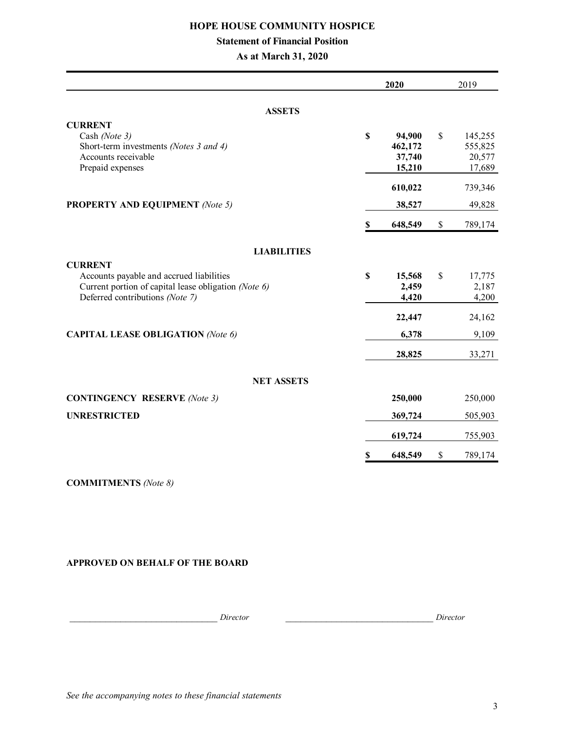## **Statement of Financial Position**

**As at March 31, 2020**

|                                                                                                                                                       |    | 2020                                  |               | 2019                                   |
|-------------------------------------------------------------------------------------------------------------------------------------------------------|----|---------------------------------------|---------------|----------------------------------------|
| <b>ASSETS</b>                                                                                                                                         |    |                                       |               |                                        |
| <b>CURRENT</b><br>Cash (Note 3)<br>Short-term investments (Notes 3 and 4)<br>Accounts receivable<br>Prepaid expenses                                  | \$ | 94,900<br>462,172<br>37,740<br>15,210 | $\mathcal{S}$ | 145,255<br>555,825<br>20,577<br>17,689 |
| <b>PROPERTY AND EQUIPMENT</b> (Note 5)                                                                                                                |    | 610,022<br>38,527                     |               | 739,346<br>49,828                      |
|                                                                                                                                                       | S  | 648,549                               | \$            | 789,174                                |
| <b>LIABILITIES</b>                                                                                                                                    |    |                                       |               |                                        |
| <b>CURRENT</b><br>Accounts payable and accrued liabilities<br>Current portion of capital lease obligation (Note 6)<br>Deferred contributions (Note 7) | \$ | 15,568<br>2,459<br>4,420              | \$            | 17,775<br>2,187<br>4,200               |
|                                                                                                                                                       |    | 22,447                                |               | 24,162                                 |
| <b>CAPITAL LEASE OBLIGATION (Note 6)</b>                                                                                                              |    | 6,378                                 |               | 9,109                                  |
|                                                                                                                                                       |    | 28,825                                |               | 33,271                                 |
| <b>NET ASSETS</b>                                                                                                                                     |    |                                       |               |                                        |
| <b>CONTINGENCY RESERVE</b> (Note 3)                                                                                                                   |    | 250,000                               |               | 250,000                                |
| <b>UNRESTRICTED</b>                                                                                                                                   |    | 369,724                               |               | 505,903                                |
|                                                                                                                                                       |    | 619,724                               |               | 755,903                                |
|                                                                                                                                                       | S  | 648,549                               | \$            | 789,174                                |

**COMMITMENTS** *(Note 8)*

## **APPROVED ON BEHALF OF THE BOARD**

\_\_\_\_\_\_\_\_\_\_\_\_\_\_\_\_\_\_\_\_\_\_\_\_\_\_\_\_\_ *Director* \_\_\_\_\_\_\_\_\_\_\_\_\_\_\_\_\_\_\_\_\_\_\_\_\_\_\_\_\_ *Director*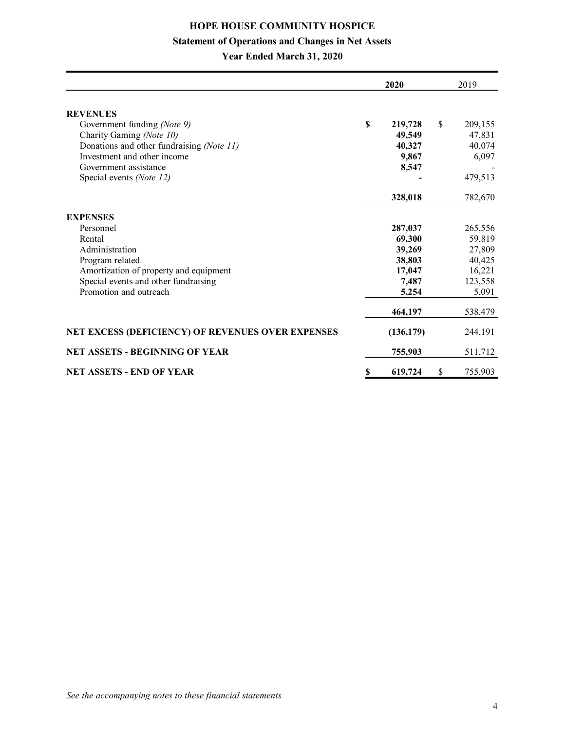## **Statement of Operations and Changes in Net Assets**

**Year Ended March 31, 2020**

|                                                   | 2020          | 2019          |
|---------------------------------------------------|---------------|---------------|
| <b>REVENUES</b>                                   |               |               |
| Government funding (Note 9)                       | \$<br>219,728 | \$<br>209,155 |
| Charity Gaming (Note 10)                          | 49,549        | 47,831        |
| Donations and other fundraising (Note 11)         | 40,327        | 40,074        |
| Investment and other income                       | 9,867         | 6,097         |
| Government assistance                             | 8,547         |               |
| Special events (Note 12)                          |               | 479,513       |
|                                                   | 328,018       | 782,670       |
| <b>EXPENSES</b>                                   |               |               |
| Personnel                                         | 287,037       | 265,556       |
| Rental                                            | 69,300        | 59,819        |
| Administration                                    | 39,269        | 27,809        |
| Program related                                   | 38,803        | 40,425        |
| Amortization of property and equipment            | 17,047        | 16,221        |
| Special events and other fundraising              | 7,487         | 123,558       |
| Promotion and outreach                            | 5,254         | 5,091         |
|                                                   | 464,197       | 538,479       |
| NET EXCESS (DEFICIENCY) OF REVENUES OVER EXPENSES | (136, 179)    | 244,191       |
| <b>NET ASSETS - BEGINNING OF YEAR</b>             | 755,903       | 511,712       |
| <b>NET ASSETS - END OF YEAR</b>                   | \$<br>619,724 | \$<br>755,903 |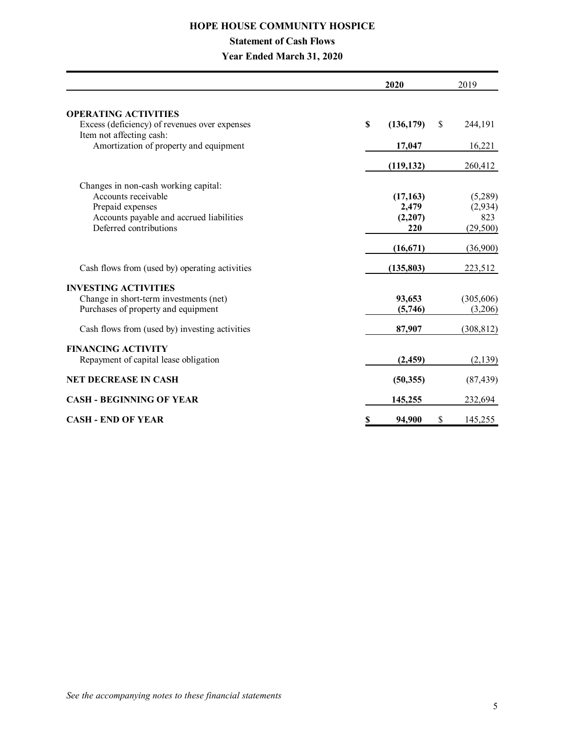## **Statement of Cash Flows**

**Year Ended March 31, 2020**

|                                                                                                                             | 2020                          |              | 2019                      |
|-----------------------------------------------------------------------------------------------------------------------------|-------------------------------|--------------|---------------------------|
| <b>OPERATING ACTIVITIES</b><br>Excess (deficiency) of revenues over expenses                                                | \$<br>(136, 179)              | $\mathbb{S}$ | 244,191                   |
| Item not affecting cash:<br>Amortization of property and equipment                                                          | 17,047                        |              | 16,221                    |
|                                                                                                                             | (119, 132)                    |              | 260,412                   |
| Changes in non-cash working capital:<br>Accounts receivable<br>Prepaid expenses<br>Accounts payable and accrued liabilities | (17, 163)<br>2,479<br>(2,207) |              | (5,289)<br>(2,934)<br>823 |
| Deferred contributions                                                                                                      | 220                           |              | (29, 500)                 |
|                                                                                                                             | (16, 671)                     |              | (36,900)                  |
| Cash flows from (used by) operating activities                                                                              | (135, 803)                    |              | 223,512                   |
| <b>INVESTING ACTIVITIES</b><br>Change in short-term investments (net)<br>Purchases of property and equipment                | 93,653<br>(5,746)             |              | (305, 606)<br>(3,206)     |
| Cash flows from (used by) investing activities                                                                              | 87,907                        |              | (308, 812)                |
| <b>FINANCING ACTIVITY</b><br>Repayment of capital lease obligation                                                          | (2, 459)                      |              | (2,139)                   |
| <b>NET DECREASE IN CASH</b>                                                                                                 | (50, 355)                     |              | (87, 439)                 |
| <b>CASH - BEGINNING OF YEAR</b>                                                                                             | 145,255                       |              | 232,694                   |
| <b>CASH - END OF YEAR</b>                                                                                                   | \$<br>94,900                  | \$           | 145,255                   |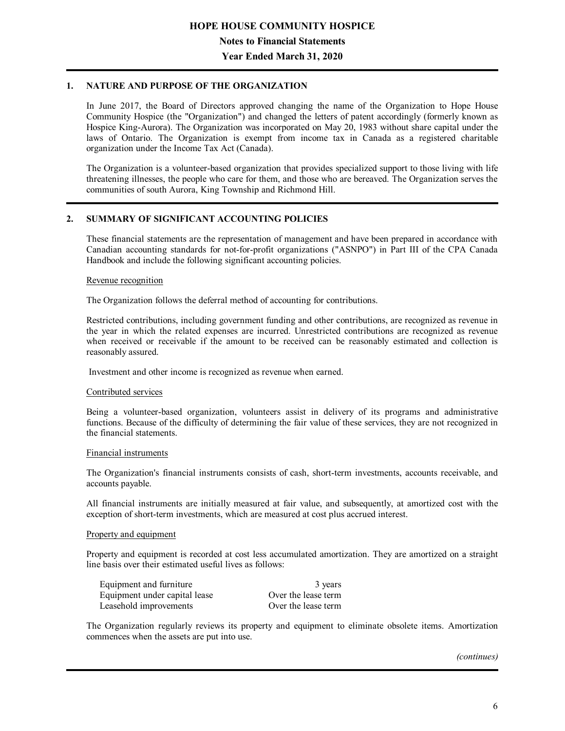**Year Ended March 31, 2020**

## **1. NATURE AND PURPOSE OF THE ORGANIZATION**

In June 2017, the Board of Directors approved changing the name of the Organization to Hope House Community Hospice (the "Organization") and changed the letters of patent accordingly (formerly known as Hospice King-Aurora). The Organization was incorporated on May 20, 1983 without share capital under the laws of Ontario. The Organization is exempt from income tax in Canada as a registered charitable organization under the Income Tax Act (Canada).

The Organization is a volunteer-based organization that provides specialized support to those living with life threatening illnesses, the people who care for them, and those who are bereaved. The Organization serves the communities of south Aurora, King Township and Richmond Hill.

### **2. SUMMARY OF SIGNIFICANT ACCOUNTING POLICIES**

These financial statements are the representation of management and have been prepared in accordance with Canadian accounting standards for not-for-profit organizations ("ASNPO") in Part III of the CPA Canada Handbook and include the following significant accounting policies.

#### Revenue recognition

The Organization follows the deferral method of accounting for contributions.

Restricted contributions, including government funding and other contributions, are recognized as revenue in the year in which the related expenses are incurred. Unrestricted contributions are recognized as revenue when received or receivable if the amount to be received can be reasonably estimated and collection is reasonably assured.

Investment and other income is recognized as revenue when earned.

#### Contributed services

Being a volunteer-based organization, volunteers assist in delivery of its programs and administrative functions. Because of the difficulty of determining the fair value of these services, they are not recognized in the financial statements.

#### Financial instruments

The Organization's financial instruments consists of cash, short-term investments, accounts receivable, and accounts payable.

All financial instruments are initially measured at fair value, and subsequently, at amortized cost with the exception of short-term investments, which are measured at cost plus accrued interest.

#### Property and equipment

Property and equipment is recorded at cost less accumulated amortization. They are amortized on a straight line basis over their estimated useful lives as follows:

| Equipment and furniture       | 3 years             |
|-------------------------------|---------------------|
| Equipment under capital lease | Over the lease term |
| Leasehold improvements        | Over the lease term |

The Organization regularly reviews its property and equipment to eliminate obsolete items. Amortization commences when the assets are put into use.

*(continues)*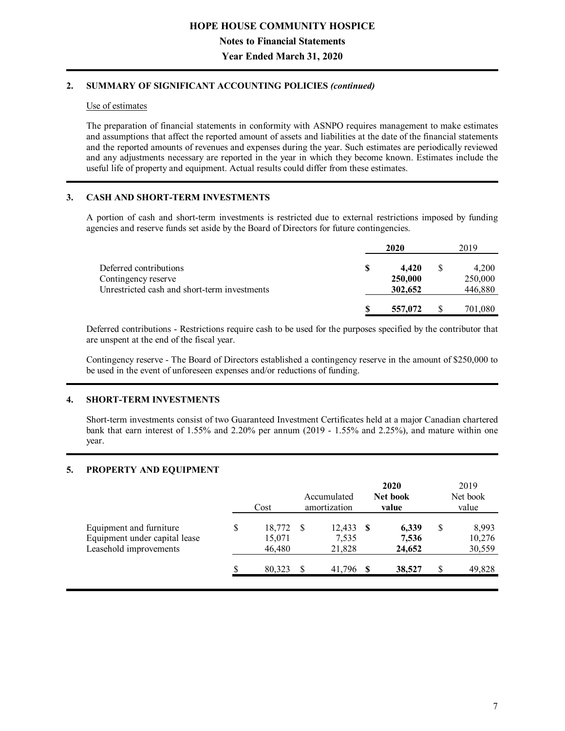#### **Year Ended March 31, 2020**

## **2. SUMMARY OF SIGNIFICANT ACCOUNTING POLICIES** *(continued)*

### Use of estimates

The preparation of financial statements in conformity with ASNPO requires management to make estimates and assumptions that affect the reported amount of assets and liabilities at the date of the financial statements and the reported amounts of revenues and expenses during the year. Such estimates are periodically reviewed and any adjustments necessary are reported in the year in which they become known. Estimates include the useful life of property and equipment. Actual results could differ from these estimates.

### **3. CASH AND SHORT-TERM INVESTMENTS**

A portion of cash and short-term investments is restricted due to external restrictions imposed by funding agencies and reserve funds set aside by the Board of Directors for future contingencies.

|                                              | 2020        | 2019    |
|----------------------------------------------|-------------|---------|
| Deferred contributions                       | \$<br>4.420 | 4.200   |
| Contingency reserve                          | 250,000     | 250,000 |
| Unrestricted cash and short-term investments | 302,652     | 446,880 |
|                                              | 557,072     | 701,080 |

Deferred contributions - Restrictions require cash to be used for the purposes specified by the contributor that are unspent at the end of the fiscal year.

Contingency reserve - The Board of Directors established a contingency reserve in the amount of \$250,000 to be used in the event of unforeseen expenses and/or reductions of funding.

#### **4. SHORT-TERM INVESTMENTS**

Short-term investments consist of two Guaranteed Investment Certificates held at a major Canadian chartered bank that earn interest of 1.55% and 2.20% per annum (2019 - 1.55% and 2.25%), and mature within one year.

#### **5. PROPERTY AND EQUIPMENT**

|                                                                                    | Cost                             | Accumulated<br>amortization |    | 2020<br>Net book<br>value |   | 2019<br>Net book<br>value |
|------------------------------------------------------------------------------------|----------------------------------|-----------------------------|----|---------------------------|---|---------------------------|
| Equipment and furniture<br>Equipment under capital lease<br>Leasehold improvements | \$<br>18,772<br>15,071<br>46,480 | 12,433<br>7,535<br>21,828   | -S | 6,339<br>7,536<br>24,652  | S | 8,993<br>10,276<br>30,559 |
|                                                                                    | 80,323                           | 41,796                      |    | 38,527                    | S | 49,828                    |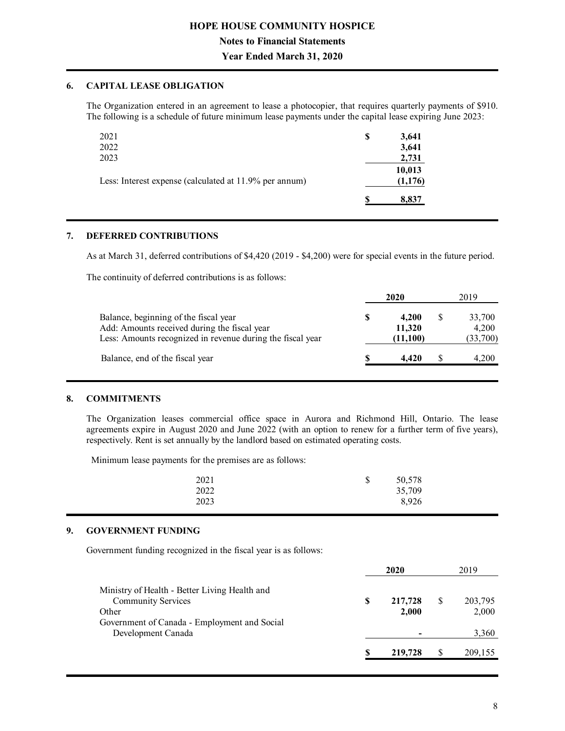**Year Ended March 31, 2020**

## **6. CAPITAL LEASE OBLIGATION**

The Organization entered in an agreement to lease a photocopier, that requires quarterly payments of \$910. The following is a schedule of future minimum lease payments under the capital lease expiring June 2023:

| 2021                                                   | S | 3,641   |
|--------------------------------------------------------|---|---------|
| 2022                                                   |   | 3,641   |
| 2023                                                   |   | 2,731   |
|                                                        |   | 10,013  |
| Less: Interest expense (calculated at 11.9% per annum) |   | (1,176) |
|                                                        |   | 8,837   |

### **7. DEFERRED CONTRIBUTIONS**

As at March 31, deferred contributions of \$4,420 (2019 - \$4,200) were for special events in the future period.

The continuity of deferred contributions is as follows:

|                                                                                                                                                     | 2020                        | 2019                        |
|-----------------------------------------------------------------------------------------------------------------------------------------------------|-----------------------------|-----------------------------|
| Balance, beginning of the fiscal year<br>Add: Amounts received during the fiscal year<br>Less: Amounts recognized in revenue during the fiscal year | 4.200<br>11,320<br>(11.100) | 33,700<br>4,200<br>(33,700) |
| Balance, end of the fiscal year                                                                                                                     | 4.420                       | 4,200                       |

#### **8. COMMITMENTS**

The Organization leases commercial office space in Aurora and Richmond Hill, Ontario. The lease agreements expire in August 2020 and June 2022 (with an option to renew for a further term of five years), respectively. Rent is set annually by the landlord based on estimated operating costs.

Minimum lease payments for the premises are as follows:

| 2021 | 50,578<br>\$ |  |
|------|--------------|--|
| 2022 | 35,709       |  |
| 2023 | 8,926        |  |

## **9. GOVERNMENT FUNDING**

Government funding recognized in the fiscal year is as follows:

|                                                                                                                                     |   | 2020             |   | 2019             |
|-------------------------------------------------------------------------------------------------------------------------------------|---|------------------|---|------------------|
| Ministry of Health - Better Living Health and<br><b>Community Services</b><br>Other<br>Government of Canada - Employment and Social | S | 217,728<br>2,000 | S | 203,795<br>2,000 |
| Development Canada                                                                                                                  |   |                  |   | 3,360            |
|                                                                                                                                     |   | 219,728          |   | 209,155          |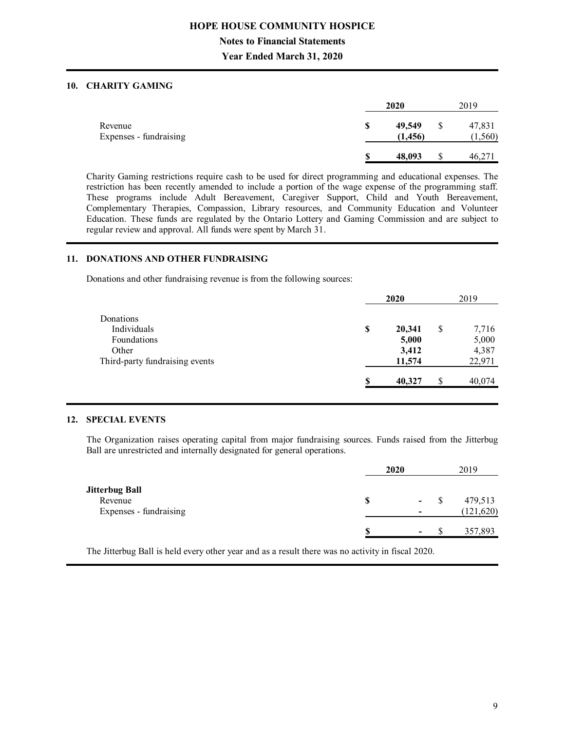**Year Ended March 31, 2020**

### **10. CHARITY GAMING**

|                                   |    | 2020               |   | 2019               |
|-----------------------------------|----|--------------------|---|--------------------|
| Revenue<br>Expenses - fundraising | \$ | 49,549<br>(1, 456) |   | 47,831<br>(1, 560) |
|                                   | S  | 48,093             | D | 46,271             |

Charity Gaming restrictions require cash to be used for direct programming and educational expenses. The restriction has been recently amended to include a portion of the wage expense of the programming staff. These programs include Adult Bereavement, Caregiver Support, Child and Youth Bereavement, Complementary Therapies, Compassion, Library resources, and Community Education and Volunteer Education. These funds are regulated by the Ontario Lottery and Gaming Commission and are subject to regular review and approval. All funds were spent by March 31.

## **11. DONATIONS AND OTHER FUNDRAISING**

Donations and other fundraising revenue is from the following sources:

|                                |     | 2020   | 2019         |
|--------------------------------|-----|--------|--------------|
| Donations                      |     |        |              |
| Individuals                    | \$  | 20,341 | \$<br>7,716  |
| Foundations                    |     | 5,000  | 5,000        |
| Other                          |     | 3,412  | 4,387        |
| Third-party fundraising events |     | 11,574 | 22,971       |
|                                | \$. | 40,327 | \$<br>40,074 |
|                                |     |        |              |

#### **12. SPECIAL EVENTS**

The Organization raises operating capital from major fundraising sources. Funds raised from the Jitterbug Ball are unrestricted and internally designated for general operations.

|                                                            | 2020 |                             | 2019                  |
|------------------------------------------------------------|------|-----------------------------|-----------------------|
| <b>Jitterbug Ball</b><br>Revenue<br>Expenses - fundraising |      | S<br>$\blacksquare$<br>$\,$ | 479,513<br>(121, 620) |
|                                                            |      | $\blacksquare$              | 357,893               |

The Jitterbug Ball is held every other year and as a result there was no activity in fiscal 2020.